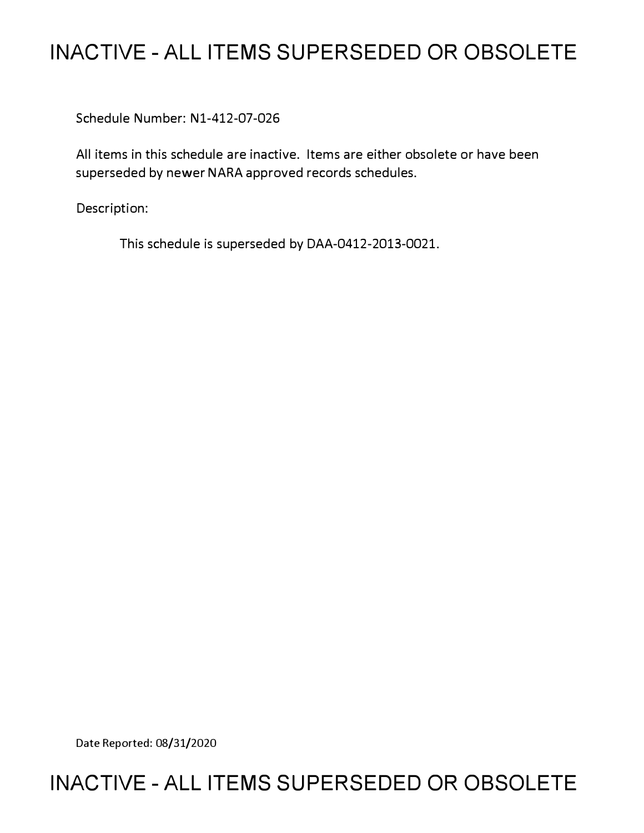# **INACTIVE - ALL ITEMS SUPERSEDED OR OBSOLETE**

Schedule Number: Nl-412-07-026

All items in this schedule are inactive. Items are either obsolete or have been superseded by newer NARA approved records schedules.

Description:

This schedule is superseded by DAA-0412-2013-0021.

Date Reported: 08/31/2020

# **INACTIVE - ALL ITEMS SUPERSEDED OR OBSOLETE**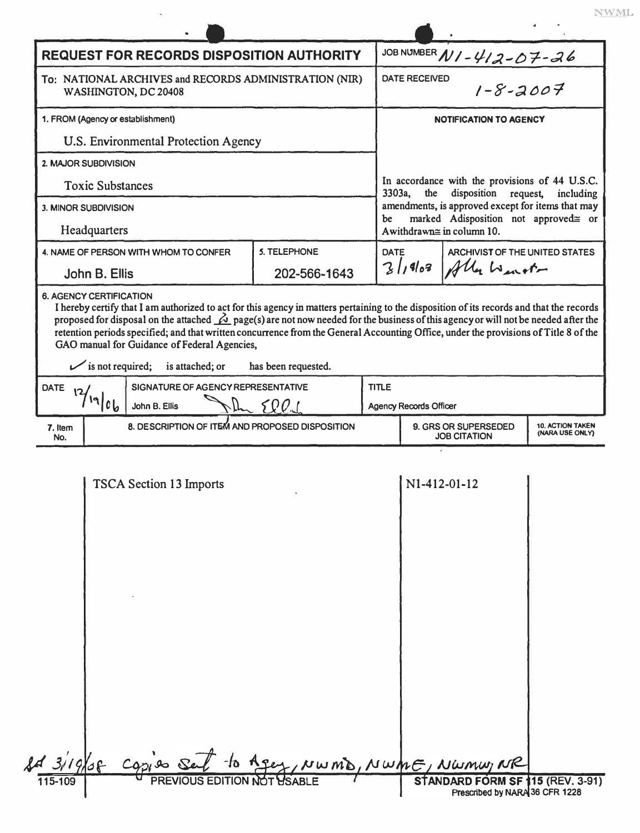| <b>REQUEST FOR RECORDS DISPOSITION AUTHORITY</b>                                                                                                                                                                                                                                                                                                                                                                                                                                                                                                           |                                                 |                                    |                     |  | JOB NUMBER N1 - 412-07-26                                                                                                                                                                                                               |                                                |                                            |  |
|------------------------------------------------------------------------------------------------------------------------------------------------------------------------------------------------------------------------------------------------------------------------------------------------------------------------------------------------------------------------------------------------------------------------------------------------------------------------------------------------------------------------------------------------------------|-------------------------------------------------|------------------------------------|---------------------|--|-----------------------------------------------------------------------------------------------------------------------------------------------------------------------------------------------------------------------------------------|------------------------------------------------|--------------------------------------------|--|
| To: NATIONAL ARCHIVES and RECORDS ADMINISTRATION (NIR)<br>WASHINGTON, DC 20408                                                                                                                                                                                                                                                                                                                                                                                                                                                                             |                                                 |                                    |                     |  | <b>DATE RECEIVED</b><br>$1 - 8 - 2007$                                                                                                                                                                                                  |                                                |                                            |  |
| 1. FROM (Agency or establishment)                                                                                                                                                                                                                                                                                                                                                                                                                                                                                                                          |                                                 |                                    |                     |  | <b>NOTIFICATION TO AGENCY</b>                                                                                                                                                                                                           |                                                |                                            |  |
| U.S. Environmental Protection Agency                                                                                                                                                                                                                                                                                                                                                                                                                                                                                                                       |                                                 |                                    |                     |  | In accordance with the provisions of 44 U.S.C.<br>3303a,<br>disposition<br>the<br>request,<br>including<br>amendments, is approved except for items that may<br>marked Adisposition not approved≅ or<br>be<br>Awithdrawn≅ in column 10. |                                                |                                            |  |
| 2. MAJOR SUBDIVISION                                                                                                                                                                                                                                                                                                                                                                                                                                                                                                                                       |                                                 |                                    |                     |  |                                                                                                                                                                                                                                         |                                                |                                            |  |
| <b>Toxic Substances</b>                                                                                                                                                                                                                                                                                                                                                                                                                                                                                                                                    |                                                 |                                    |                     |  |                                                                                                                                                                                                                                         |                                                |                                            |  |
| 3. MINOR SUBDIVISION                                                                                                                                                                                                                                                                                                                                                                                                                                                                                                                                       |                                                 |                                    |                     |  |                                                                                                                                                                                                                                         |                                                |                                            |  |
| Headquarters                                                                                                                                                                                                                                                                                                                                                                                                                                                                                                                                               |                                                 |                                    |                     |  |                                                                                                                                                                                                                                         |                                                |                                            |  |
| 4. NAME OF PERSON WITH WHOM TO CONFER                                                                                                                                                                                                                                                                                                                                                                                                                                                                                                                      |                                                 |                                    | <b>5. TELEPHONE</b> |  | <b>DATE</b>                                                                                                                                                                                                                             | ARCHIVIST OF THE UNITED STATES<br>Ally Winster |                                            |  |
| John B. Ellis                                                                                                                                                                                                                                                                                                                                                                                                                                                                                                                                              |                                                 |                                    | 202-566-1643        |  | 3/1963                                                                                                                                                                                                                                  |                                                |                                            |  |
| I hereby certify that I am authorized to act for this agency in matters pertaining to the disposition of its records and that the records<br>proposed for disposal on the attached $\Delta$ page(s) are not now needed for the business of this agency or will not be needed after the<br>retention periods specified; and that written concurrence from the General Accounting Office, under the provisions of Title 8 of the<br>GAO manual for Guidance of Federal Agencies,<br>$\mathcal{V}$ is not required;<br>is attached; or<br>has been requested. |                                                 |                                    |                     |  |                                                                                                                                                                                                                                         |                                                |                                            |  |
| <b>DATE</b>                                                                                                                                                                                                                                                                                                                                                                                                                                                                                                                                                |                                                 | SIGNATURE OF AGENCY REPRESENTATIVE |                     |  | <b>TITLE</b>                                                                                                                                                                                                                            |                                                |                                            |  |
|                                                                                                                                                                                                                                                                                                                                                                                                                                                                                                                                                            | 19/06                                           | John B. Ellis                      | 500                 |  |                                                                                                                                                                                                                                         | <b>Agency Records Officer</b>                  |                                            |  |
| 7. Item<br>No.                                                                                                                                                                                                                                                                                                                                                                                                                                                                                                                                             | 8. DESCRIPTION OF ITEM AND PROPOSED DISPOSITION |                                    |                     |  |                                                                                                                                                                                                                                         | 9. GRS OR SUPERSEDED<br><b>JOB CITATION</b>    | <b>10. ACTION TAKEN</b><br>(NARA USE ONLY) |  |
|                                                                                                                                                                                                                                                                                                                                                                                                                                                                                                                                                            |                                                 | <b>TSCA Section 13 Imports</b>     |                     |  | N1-412-01-12                                                                                                                                                                                                                            |                                                |                                            |  |

 $843/19/08$  cop mu, NR 1 so Sel to Agey, NWMD, NWME, NW<br>PREVIOUS EDITION NOT USABLE ARD FORM SF 115 (REV. 3-91)<br>Prescribed by NARA 36 CFR 1228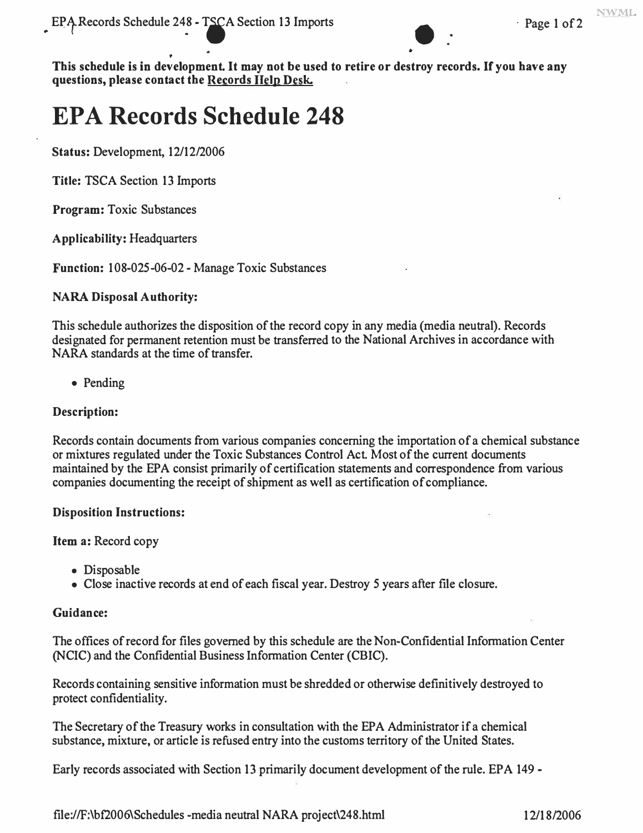

• • **This schedule is in development. It may not be used to retire or destroy records. If you have any questions, please contact the Records Help Desk.** 

# **EPA Records Schedule 248**

**Status:** Development, 12/12/2006

**Title:** TSCA Section 13 Imports

**Program:** Toxic Substances

**Applicability:** Headquarters

Function: 108-025-06-02 - Manage Toxic Substances

### **NARA Disposal Authority:**

This schedule authorizes the disposition of the record copy in any media (media neutral). Records designated for permanent retention must be transferred to the National Archives in accordance with NARA standards at the time of transfer.

• Pending

## **Description:**

Records contain documents from various companies concerning the importation of a chemical substance or mixtures regulated under the Toxic Substances Control Act. Most of the current documents maintained by the EPA consist primarily of certification statements and correspondence from various companies documenting the receipt of shipment as well as certification of compliance.

### **Disposition Instructions:**

**Item a:** Record copy

- Disposable
- Close inactive records at end of each fiscal year. Destroy *5* years after file closure.

### **Guidance:**

The offices of record for files governed by this schedule are the Non-Confidential Information Center (NCIC) and the Confidential Business Information Center (CBIC).

Records containing sensitive information must be shredded or otherwise definitively destroyed to protect confidentiality.

The Secretary of the Treasury works in consultation with the EPA Administrator if a chemical substance, mixture, or article is refused entry into the customs territory of the United States.

Early records associated with Section 13 primarily document development of the rule. EPA 149 -

<file://F>:\ bf2006\ Schedules -media neutral NARA project\ 248.html 12/18/2006